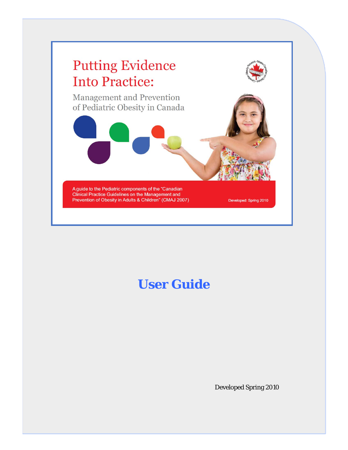

# **User Guide**

Developed Spring 2010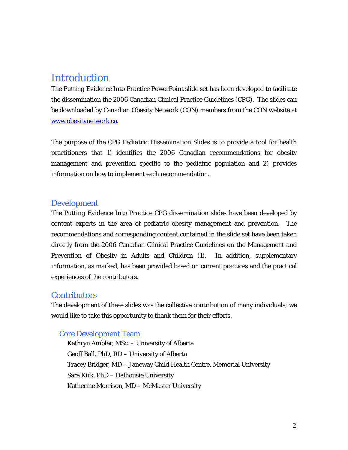# **Introduction**

The *Putting Evidence Into Practice* PowerPoint slide set has been developed to facilitate the dissemination the 2006 Canadian Clinical Practice Guidelines (CPG). The slides can be downloaded by Canadian Obesity Network (CON) members from the CON website at [www.obesitynetwork.ca.](http://www.obesitynetwork.ca/)

The purpose of the *CPG Pediatric Dissemination Slides* is to provide a tool for health practitioners that 1) identifies the 2006 Canadian recommendations for obesity management and prevention specific to the pediatric population and 2) provides information on how to implement each recommendation.

### Development

The *Putting Evidence Into Practice* CPG dissemination slides have been developed by content experts in the area of pediatric obesity management and prevention. The recommendations and corresponding content contained in the slide set have been taken directly from the 2006 Canadian Clinical Practice Guidelines on the Management and Prevention of Obesity in Adults and Children (1). In addition, supplementary information, as marked, has been provided based on current practices and the practical experiences of the contributors.

#### **Contributors**

The development of these slides was the collective contribution of many individuals; we would like to take this opportunity to thank them for their efforts.

#### Core Development Team

Kathryn Ambler, MSc. – University of Alberta Geoff Ball, PhD, RD – University of Alberta Tracey Bridger, MD – Janeway Child Health Centre, Memorial University Sara Kirk, PhD – Dalhousie University Katherine Morrison, MD – McMaster University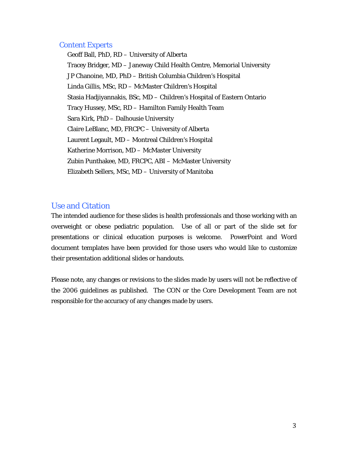#### Content Experts

Geoff Ball, PhD, RD – University of Alberta Tracey Bridger, MD – Janeway Child Health Centre, Memorial University JP Chanoine, MD, PhD – British Columbia Children's Hospital Linda Gillis, MSc, RD – McMaster Children's Hospital Stasia Hadjiyannakis, BSc, MD – Children's Hospital of Eastern Ontario Tracy Hussey, MSc, RD – Hamilton Family Health Team Sara Kirk, PhD – Dalhousie University Claire LeBlanc, MD, FRCPC – University of Alberta Laurent Legault, MD – Montreal Children's Hospital Katherine Morrison, MD – McMaster University Zubin Punthakee, MD, FRCPC, ABI – McMaster University Elizabeth Sellers, MSc, MD – University of Manitoba

## Use and Citation

The intended audience for these slides is health professionals and those working with an overweight or obese pediatric population. Use of all or part of the slide set for presentations or clinical education purposes is welcome. PowerPoint and Word document templates have been provided for those users who would like to customize their presentation additional slides or handouts.

Please note, any changes or revisions to the slides made by users will not be reflective of the 2006 guidelines as published. The CON or the Core Development Team are not responsible for the accuracy of any changes made by users.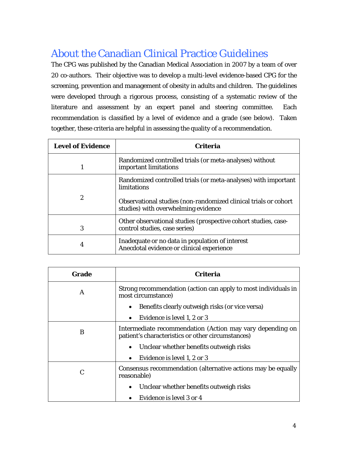# About the Canadian Clinical Practice Guidelines

The CPG was published by the Canadian Medical Association in 2007 by a team of over 20 co-authors. Their objective was to develop a multi-level evidence-based CPG for the screening, prevention and management of obesity in adults and children. The guidelines were developed through a rigorous process, consisting of a systematic review of the literature and assessment by an expert panel and steering committee. Each recommendation is classified by a level of evidence and a grade (see below). Taken together, these criteria are helpful in assessing the quality of a recommendation.

| <b>Level of Evidence</b> | <b>Criteria</b>                                                                                        |
|--------------------------|--------------------------------------------------------------------------------------------------------|
|                          | Randomized controlled trials (or meta-analyses) without<br>important limitations                       |
|                          | Randomized controlled trials (or meta-analyses) with important<br>limitations                          |
| 2                        | Observational studies (non-randomized clinical trials or cohort<br>studies) with overwhelming evidence |
| 3                        | Other observational studies (prospective cohort studies, case-<br>control studies, case series)        |
| 4                        | Inadequate or no data in population of interest<br>Anecdotal evidence or clinical experience           |

| Grade | <b>Criteria</b>                                                                                                |
|-------|----------------------------------------------------------------------------------------------------------------|
| A     | Strong recommendation (action can apply to most individuals in<br>most circumstance)                           |
|       | Benefits clearly outweigh risks (or vice versa)                                                                |
|       | Evidence is level 1, 2 or 3                                                                                    |
| B     | Intermediate recommendation (Action may vary depending on<br>patient's characteristics or other circumstances) |
|       | Unclear whether benefits outweigh risks                                                                        |
|       | Evidence is level 1, 2 or 3<br>$\bullet$                                                                       |
| C     | Consensus recommendation (alternative actions may be equally<br>reasonable)                                    |
|       | Unclear whether benefits outweigh risks<br>$\bullet$                                                           |
|       | Evidence is level 3 or 4                                                                                       |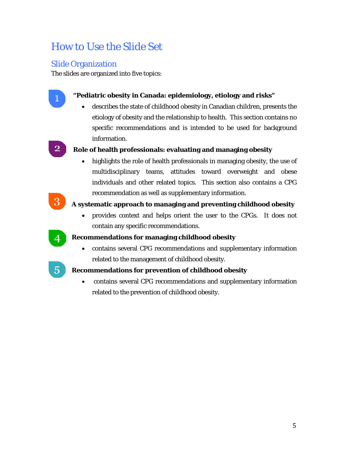# How to Use the Slide Set

# Slide Organization

The slides are organized into five topics:



## • **"Pediatric obesity in Canada: epidemiology, etiology and risks"**

• describes the state of childhood obesity in Canadian children, presents the etiology of obesity and the relationship to health. This section contains no specific recommendations and is intended to be used for background information.

## • **Role of health professionals: evaluating and managing obesity**

• highlights the role of health professionals in managing obesity, the use of multidisciplinary teams, attitudes toward overweight and obese individuals and other related topics. This section also contains a CPG recommendation as well as supplementary information.

# • **A systematic approach to managing and preventing childhood obesity**

• provides context and helps orient the user to the CPGs. It does not contain any specific recommendations.



## • **Recommendations for managing childhood obesity**

• contains several CPG recommendations and supplementary information related to the management of childhood obesity.

## **• B** Recommendations for prevention of childhood obesity

• contains several CPG recommendations and supplementary information related to the prevention of childhood obesity.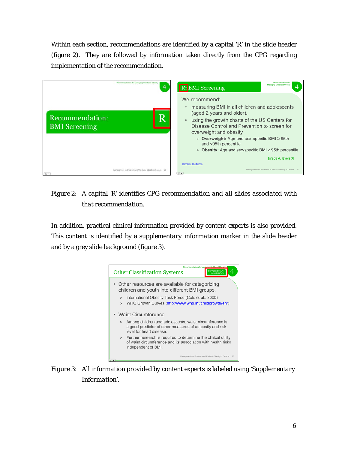Within each section, recommendations are identified by a capital 'R' in the slide header (figure 2). They are followed by information taken directly from the CPG regarding implementation of the recommendation.



*Figure 2: A capital 'R' identifies CPG recommendation and all slides associated with that recommendation.*

In addition, practical clinical information provided by content experts is also provided. This content is identified by a *supplementary information* marker in the slide header and by a grey slide background (figure 3).



*Figure 3: All information provided by content experts is labeled using 'Supplementary Information'.*